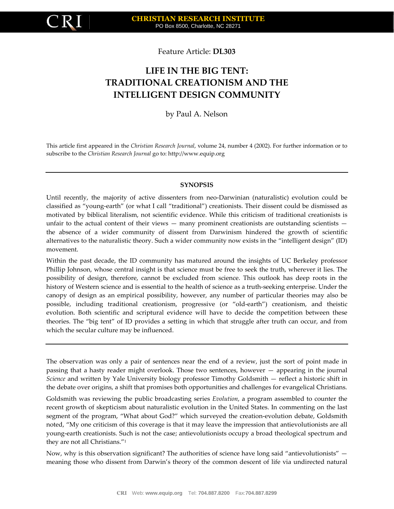

Feature Article: **DL303**

# **LIFE IN THE BIG TENT: TRADITIONAL CREATIONISM AND THE INTELLIGENT DESIGN COMMUNITY**

### by Paul A. Nelson

This article first appeared in the *Christian Research Journal*, volume 24, number 4 (2002). For further information or to subscribe to the *Christian Research Journal* go to: [http://www.equip.org](http://www.equip.org/)

### **SYNOPSIS**

Until recently, the majority of active dissenters from neo-Darwinian (naturalistic) evolution could be classified as "young-earth" (or what I call "traditional") creationists. Their dissent could be dismissed as motivated by biblical literalism, not scientific evidence. While this criticism of traditional creationists is unfair to the actual content of their views — many prominent creationists are outstanding scientists the absence of a wider community of dissent from Darwinism hindered the growth of scientific alternatives to the naturalistic theory. Such a wider community now exists in the "intelligent design" (ID) movement.

Within the past decade, the ID community has matured around the insights of UC Berkeley professor Phillip Johnson, whose central insight is that science must be free to seek the truth, wherever it lies. The possibility of design, therefore, cannot be excluded from science. This outlook has deep roots in the history of Western science and is essential to the health of science as a truth-seeking enterprise. Under the canopy of design as an empirical possibility, however, any number of particular theories may also be possible, including traditional creationism, progressive (or "old-earth") creationism, and theistic evolution. Both scientific and scriptural evidence will have to decide the competition between these theories. The "big tent" of ID provides a setting in which that struggle after truth can occur, and from which the secular culture may be influenced.

The observation was only a pair of sentences near the end of a review, just the sort of point made in passing that a hasty reader might overlook. Those two sentences, however — appearing in the journal *Science* and written by Yale University biology professor Timothy Goldsmith — reflect a historic shift in the debate over origins, a shift that promises both opportunities and challenges for evangelical Christians.

Goldsmith was reviewing the public broadcasting series *Evolution*, a program assembled to counter the recent growth of skepticism about naturalistic evolution in the United States. In commenting on the last segment of the program, "What about God?" which surveyed the creation-evolution debate, Goldsmith noted, "My one criticism of this coverage is that it may leave the impression that antievolutionists are all young-earth creationists. Such is not the case; antievolutionists occupy a broad theological spectrum and they are not all Christians."<sup>1</sup>

Now, why is this observation significant? The authorities of science have long said "antievolutionists" meaning those who dissent from Darwin's theory of the common descent of life via undirected natural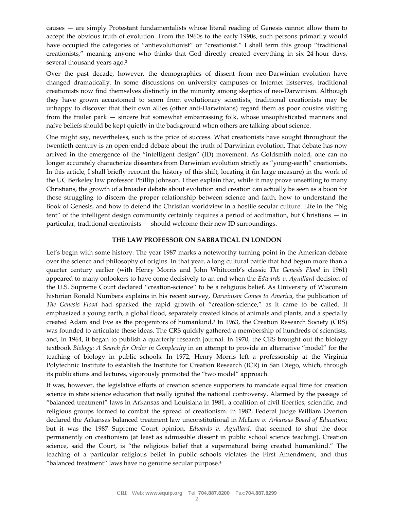causes — are simply Protestant fundamentalists whose literal reading of Genesis cannot allow them to accept the obvious truth of evolution. From the 1960s to the early 1990s, such persons primarily would have occupied the categories of "antievolutionist" or "creationist." I shall term this group "traditional creationists," meaning anyone who thinks that God directly created everything in six 24-hour days, several thousand years ago.<sup>2</sup>

Over the past decade, however, the demographics of dissent from neo-Darwinian evolution have changed dramatically. In some discussions on university campuses or Internet listserves, traditional creationists now find themselves distinctly in the minority among skeptics of neo-Darwinism. Although they have grown accustomed to scorn from evolutionary scientists, traditional creationists may be unhappy to discover that their own allies (other anti-Darwinians) regard them as poor cousins visiting from the trailer park — sincere but somewhat embarrassing folk, whose unsophisticated manners and naíve beliefs should be kept quietly in the background when others are talking about science.

One might say, nevertheless, such is the price of success. What creationists have sought throughout the twentieth century is an open-ended debate about the truth of Darwinian evolution. That debate has now arrived in the emergence of the "intelligent design" (ID) movement. As Goldsmith noted, one can no longer accurately characterize dissenters from Darwinian evolution strictly as "young-earth" creationists. In this article, I shall briefly recount the history of this shift, locating it (in large measure) in the work of the UC Berkeley law professor Phillip Johnson. I then explain that, while it may prove unsettling to many Christians, the growth of a broader debate about evolution and creation can actually be seen as a boon for those struggling to discern the proper relationship between science and faith, how to understand the Book of Genesis, and how to defend the Christian worldview in a hostile secular culture. Life in the "big tent" of the intelligent design community certainly requires a period of acclimation, but Christians — in particular, traditional creationists — should welcome their new ID surroundings.

#### **THE LAW PROFESSOR ON SABBATICAL IN LONDON**

Let's begin with some history. The year 1987 marks a noteworthy turning point in the American debate over the science and philosophy of origins. In that year, a long cultural battle that had begun more than a quarter century earlier (with Henry Morris and John Whitcomb's classic *The Genesis Flood* in 1961) appeared to many onlookers to have come decisively to an end when the *Edwards v. Aguillard* decision of the U.S. Supreme Court declared "creation-science" to be a religious belief. As University of Wisconsin historian Ronald Numbers explains in his recent survey, *Darwinism Comes to America*, the publication of *The Genesis Flood* had sparked the rapid growth of "creation-science," as it came to be called. It emphasized a young earth, a global flood, separately created kinds of animals and plants, and a specially created Adam and Eve as the progenitors of humankind.<sup>3</sup> In 1963, the Creation Research Society (CRS) was founded to articulate these ideas. The CRS quickly gathered a membership of hundreds of scientists, and, in 1964, it began to publish a quarterly research journal. In 1970, the CRS brought out the biology textbook *Biology: A Search for Order in Complexity* in an attempt to provide an alternative "model" for the teaching of biology in public schools. In 1972, Henry Morris left a professorship at the Virginia Polytechnic Institute to establish the Institute for Creation Research (ICR) in San Diego, which, through its publications and lectures, vigorously promoted the "two model" approach.

It was, however, the legislative efforts of creation science supporters to mandate equal time for creation science in state science education that really ignited the national controversy. Alarmed by the passage of "balanced treatment" laws in Arkansas and Louisiana in 1981, a coalition of civil liberties, scientific, and religious groups formed to combat the spread of creationism. In 1982, Federal Judge William Overton declared the Arkansas balanced treatment law unconstitutional in *McLean v. Arkansas Board of Education*; but it was the 1987 Supreme Court opinion, *Edwards v. Aguillard*, that seemed to shut the door permanently on creationism (at least as admissible dissent in public school science teaching). Creation science, said the Court, is "the religious belief that a supernatural being created humankind." The teaching of a particular religious belief in public schools violates the First Amendment, and thus "balanced treatment" laws have no genuine secular purpose.<sup>4</sup>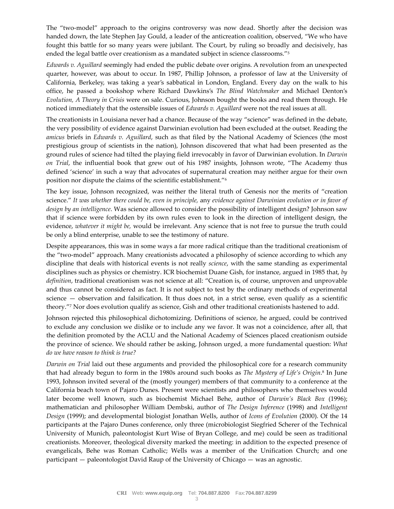The "two-model" approach to the origins controversy was now dead. Shortly after the decision was handed down, the late Stephen Jay Gould, a leader of the anticreation coalition, observed, "We who have fought this battle for so many years were jubilant. The Court, by ruling so broadly and decisively, has ended the legal battle over creationism as a mandated subject in science classrooms."<sup>5</sup>

*Edwards v. Aguillard* seemingly had ended the public debate over origins. A revolution from an unexpected quarter, however, was about to occur. In 1987, Phillip Johnson, a professor of law at the University of California, Berkeley, was taking a year's sabbatical in London, England. Every day on the walk to his office, he passed a bookshop where Richard Dawkins's *The Blind Watchmaker* and Michael Denton's *Evolution, A Theory in Crisis* were on sale. Curious, Johnson bought the books and read them through. He noticed immediately that the ostensible issues of *Edwards v. Aguillard* were not the real issues at all.

The creationists in Louisiana never had a chance. Because of the way "science" was defined in the debate, the very possibility of evidence against Darwinian evolution had been excluded at the outset. Reading the *amicus* briefs in *Edwards v. Aguillard*, such as that filed by the National Academy of Sciences (the most prestigious group of scientists in the nation), Johnson discovered that what had been presented as the ground rules of science had tilted the playing field irrevocably in favor of Darwinian evolution. In *Darwin on Trial*, the influential book that grew out of his 1987 insights, Johnson wrote, "The Academy thus defined 'science' in such a way that advocates of supernatural creation may neither argue for their own position nor dispute the claims of the scientific establishment."<sup>6</sup>

The key issue, Johnson recognized, was neither the literal truth of Genesis nor the merits of "creation science." *It was whether there could be, even in principle,* any *evidence against Darwinian evolution or in favor of design by an intelligence*. Was science allowed to consider the possibility of intelligent design? Johnson saw that if science were forbidden by its own rules even to look in the direction of intelligent design, the evidence, *whatever it might be,* would be irrelevant. Any science that is not free to pursue the truth could be only a blind enterprise, unable to see the testimony of nature.

Despite appearances, this was in some ways a far more radical critique than the traditional creationism of the "two-model" approach. Many creationists advocated a philosophy of science according to which any discipline that deals with historical events is not really *science*, with the same standing as experimental disciplines such as physics or chemistry. ICR biochemist Duane Gish, for instance, argued in 1985 that, *by definition*, traditional creationism was not science at all: "Creation is, of course, unproven and unprovable and thus cannot be considered as fact. It is not subject to test by the ordinary methods of experimental science — observation and falsification. It thus does not, in a strict sense, even qualify as a scientific theory."<sup>7</sup> Nor does evolution qualify as science, Gish and other traditional creationists hastened to add.

Johnson rejected this philosophical dichotomizing. Definitions of science, he argued, could be contrived to exclude any conclusion we dislike or to include any we favor. It was not a coincidence, after all, that the definition promoted by the ACLU and the National Academy of Sciences placed creationism outside the province of science. We should rather be asking, Johnson urged, a more fundamental question: *What do we have reason to think is true?*

*Darwin on Trial* laid out these arguments and provided the philosophical core for a research community that had already begun to form in the 1980s around such books as *The Mystery of Life's Origin*. 8 In June 1993, Johnson invited several of the (mostly younger) members of that community to a conference at the California beach town of Pajaro Dunes. Present were scientists and philosophers who themselves would later become well known, such as biochemist Michael Behe, author of *Darwin's Black Box* (1996); mathematician and philosopher William Dembski, author of *The Design Inference* (1998) and *Intelligent Design* (1999); and developmental biologist Jonathan Wells, author of *Icons of Evolution* (2000). Of the 14 participants at the Pajaro Dunes conference, only three (microbiologist Siegfried Scherer of the Technical University of Munich, paleontologist Kurt Wise of Bryan College, and me) could be seen as traditional creationists. Moreover, theological diversity marked the meeting: in addition to the expected presence of evangelicals, Behe was Roman Catholic; Wells was a member of the Unification Church; and one participant — paleontologist David Raup of the University of Chicago — was an agnostic.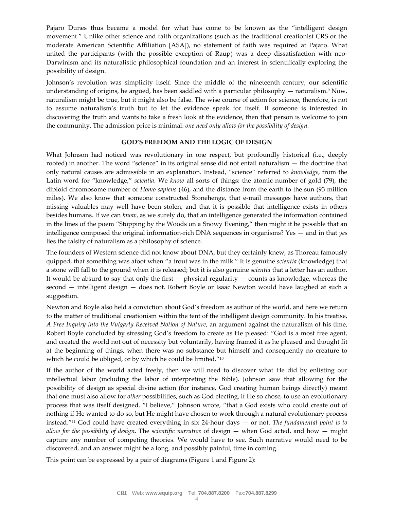Pajaro Dunes thus became a model for what has come to be known as the "intelligent design movement." Unlike other science and faith organizations (such as the traditional creationist CRS or the moderate American Scientific Affiliation [ASA]), no statement of faith was required at Pajaro. What united the participants (with the possible exception of Raup) was a deep dissatisfaction with neo-Darwinism and its naturalistic philosophical foundation and an interest in scientifically exploring the possibility of design.

Johnson's revolution was simplicity itself. Since the middle of the nineteenth century, our scientific understanding of origins, he argued, has been saddled with a particular philosophy  $-$  naturalism.<sup>9</sup> Now, naturalism might be true, but it might also be false. The wise course of action for science, therefore, is not to assume naturalism's truth but to let the evidence speak for itself. If someone is interested in discovering the truth and wants to take a fresh look at the evidence, then that person is welcome to join the community. The admission price is minimal: *one need only allow for the possibility of design.*

#### **GOD'S FREEDOM AND THE LOGIC OF DESIGN**

What Johnson had noticed was revolutionary in one respect, but profoundly historical (i.e., deeply rooted) in another. The word "science" in its original sense did not entail naturalism — the doctrine that only natural causes are admissible in an explanation. Instead, "science" referred to *knowledge*, from the Latin word for "knowledge," *scientia*. We *know* all sorts of things: the atomic number of gold (79), the diploid chromosome number of *Homo sapiens* (46), and the distance from the earth to the sun (93 million miles). We also know that someone constructed Stonehenge, that e-mail messages have authors, that missing valuables may well have been stolen, and that it is possible that intelligence exists in others besides humans. If we can *know*, as we surely do, that an intelligence generated the information contained in the lines of the poem "Stopping by the Woods on a Snowy Evening," then might it be possible that an intelligence composed the original information-rich DNA sequences in organisms? Yes — and in that *yes* lies the falsity of naturalism as a philosophy of science.

The founders of Western science did not know about DNA, but they certainly knew, as Thoreau famously quipped, that something was afoot when "a trout was in the milk." It is genuine *scientia* (knowledge) that a stone will fall to the ground when it is released; but it is also genuine *scientia* that a letter has an author. It would be absurd to say that only the first  $-$  physical regularity  $-$  counts as knowledge, whereas the second — intelligent design — does not. Robert Boyle or Isaac Newton would have laughed at such a suggestion.

Newton and Boyle also held a conviction about God's freedom as author of the world, and here we return to the matter of traditional creationism within the tent of the intelligent design community. In his treatise, *A Free Inquiry into the Vulgarly Received Notion of Nature*, an argument against the naturalism of his time, Robert Boyle concluded by stressing God's freedom to create as He pleased: "God is a most free agent, and created the world not out of necessity but voluntarily, having framed it as he pleased and thought fit at the beginning of things, when there was no substance but himself and consequently no creature to which he could be obliged, or by which he could be limited."<sup>10</sup>

If the author of the world acted freely, then we will need to discover what He did by enlisting our intellectual labor (including the labor of interpreting the Bible). Johnson saw that allowing for the possibility of design as special divine action (for instance, God creating human beings directly) meant that one must also allow for *other* possibilities, such as God electing, if He so chose, to use an evolutionary process that was itself designed. "I believe," Johnson wrote, "that a God exists who could create out of nothing if He wanted to do so, but He might have chosen to work through a natural evolutionary process instead."<sup>11</sup> God could have created everything in six 24-hour days — or not. *The fundamental point is to allow for the possibility of design.* The *scientific narrative* of design — when God acted, and how — might capture any number of competing theories. We would have to see. Such narrative would need to be discovered, and an answer might be a long, and possibly painful, time in coming.

This point can be expressed by a pair of diagrams (Figure 1 and Figure 2):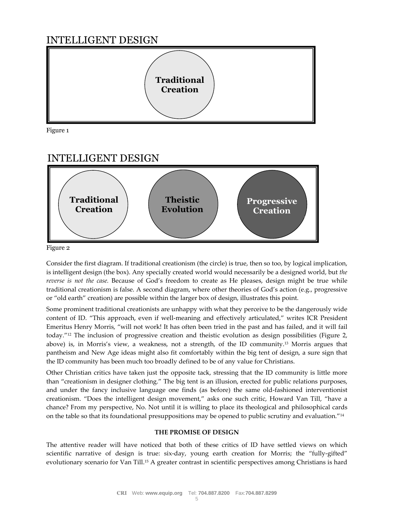## INTELLIGENT DESIGN



Figure 1

## INTELLIGENT DESIGN



Figure 2

Consider the first diagram. If traditional creationism (the circle) is true, then so too, by logical implication, is intelligent design (the box). Any specially created world would necessarily be a designed world, but *the reverse is not the case.* Because of God's freedom to create as He pleases, design might be true while traditional creationism is false. A second diagram, where other theories of God's action (e.g., progressive or "old earth" creation) are possible within the larger box of design, illustrates this point.

Some prominent traditional creationists are unhappy with what they perceive to be the dangerously wide content of ID. "This approach, even if well-meaning and effectively articulated," writes ICR President Emeritus Henry Morris, "will not work! It has often been tried in the past and has failed, and it will fail today."<sup>12</sup> The inclusion of progressive creation and theistic evolution as design possibilities (Figure 2, above) is, in Morris's view, a weakness, not a strength, of the ID community.<sup>13</sup> Morris argues that pantheism and New Age ideas might also fit comfortably within the big tent of design, a sure sign that the ID community has been much too broadly defined to be of any value for Christians.

Other Christian critics have taken just the opposite tack, stressing that the ID community is little more than "creationism in designer clothing." The big tent is an illusion, erected for public relations purposes, and under the fancy inclusive language one finds (as before) the same old-fashioned interventionist creationism. "Does the intelligent design movement," asks one such critic, Howard Van Till, "have a chance? From my perspective, No. Not until it is willing to place its theological and philosophical cards on the table so that its foundational presuppositions may be opened to public scrutiny and evaluation."<sup>14</sup>

### **THE PROMISE OF DESIGN**

The attentive reader will have noticed that both of these critics of ID have settled views on which scientific narrative of design is true: six-day, young earth creation for Morris; the "fully-gifted" evolutionary scenario for Van Till.<sup>15</sup> A greater contrast in scientific perspectives among Christians is hard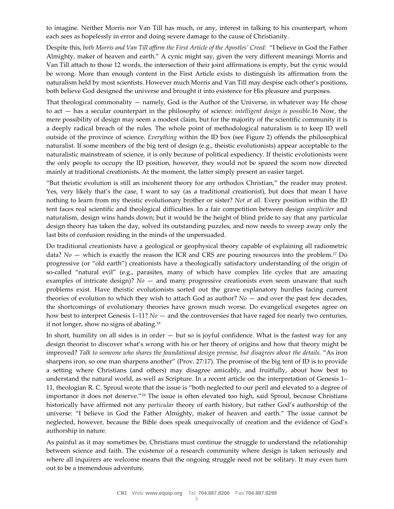to imagine. Neither Morris nor Van Till has much, or any, interest in talking to his counterpart, whom each sees as hopelessly in error and doing severe damage to the cause of Christianity.

Despite this, *both Morris and Van Till affirm the First Article of the Apostles' Creed:* "I believe in God the Father Almighty, maker of heaven and earth." A cynic might say, given the very different meanings Morris and Van Till attach to those 12 words, the intersection of their joint affirmations is empty, but the cynic would be wrong. More than enough content in the First Article exists to distinguish its affirmation from the naturalism held by most scientists. However much Morris and Van Till may despise each other's positions, both believe God designed the universe and brought it into existence for His pleasure and purposes.

That theological commonality  $-$  namely, God is the Author of the Universe, in whatever way He chose to act — has a secular counterpart in the philosophy of science: *intelligent design is possible*.16 Now, the mere possibility of design may seem a modest claim, but for the majority of the scientific community it is a deeply radical breach of the rules. The whole point of methodological naturalism is to keep ID well outside of the province of science. *Everything* within the ID box (see Figure 2) offends the philosophical naturalist. If some members of the big tent of design (e.g., theistic evolutionists) appear acceptable to the naturalistic mainstream of science, it is only because of political expediency. If theistic evolutionists were the only people to occupy the ID position, however, they would not be spared the scorn now directed mainly at traditional creationists. At the moment, the latter simply present an easier target.

"But theistic evolution is still an incoherent theory for any orthodox Christian," the reader may protest. Yes, very likely that's the case, I want to say (as a traditional creationist), but does that mean I have nothing to learn from my theistic evolutionary brother or sister? *Not at all.* Every position within the ID tent faces real scientific and theological difficulties. In a fair competition between design *simpliciter* and naturalism, design wins hands down; but it would be the height of blind pride to say that any particular design theory has taken the day, solved its outstanding puzzles, and now needs to sweep away only the last bits of confusion residing in the minds of the unpersuaded.

Do traditional creationists have a geological or geophysical theory capable of explaining all radiometric data? *No* — which is exactly the reason the ICR and CRS are pouring resources into the problem.<sup>17</sup> Do progressive (or "old earth") creationists have a theologically satisfactory understanding of the origin of so-called "natural evil" (e.g., parasites, many of which have complex life cycles that are amazing examples of intricate design)? *No* — and many progressive creationists even seem unaware that such problems exist. Have theistic evolutionists sorted out the grave explanatory hurdles facing current theories of evolution to which they wish to attach God as author? *No* — and over the past few decades, the shortcomings of evolutionary theories have grown much worse. Do evangelical exegetes agree on how best to interpret Genesis 1–11? *No* — and the controversies that have raged for nearly two centuries, if not longer, show no signs of abating.<sup>18</sup>

In short, humility on all sides is in order  $-$  but so is joyful confidence. What is the fastest way for any design theorist to discover what's wrong with his or her theory of origins and how that theory might be improved? *Talk to someone who shares the foundational design premise, but disagrees about the details.* "As iron sharpens iron, so one man sharpens another" (Prov. 27:17). The promise of the big tent of ID is to provide a setting where Christians (and others) may disagree amicably, and fruitfully, about how best to understand the natural world, as well as Scripture. In a recent article on the interpretation of Genesis 1– 11, theologian R. C. Sproul wrote that the issue is "both neglected to our peril and elevated to a degree of importance it does not deserve."<sup>19</sup> The issue is often elevated too high, said Sproul, because Christians historically have affirmed not any *particular* theory of earth history, but rather God's authorship of the universe: "I believe in God the Father Almighty, maker of heaven and earth." The issue cannot be neglected, however, because the Bible does speak unequivocally of creation and the evidence of God's authorship in nature.

As painful as it may sometimes be, Christians must continue the struggle to understand the relationship between science and faith. The existence of a research community where design is taken seriously and where all inquirers are welcome means that the ongoing struggle need not be solitary. It may even turn out to be a tremendous adventure.